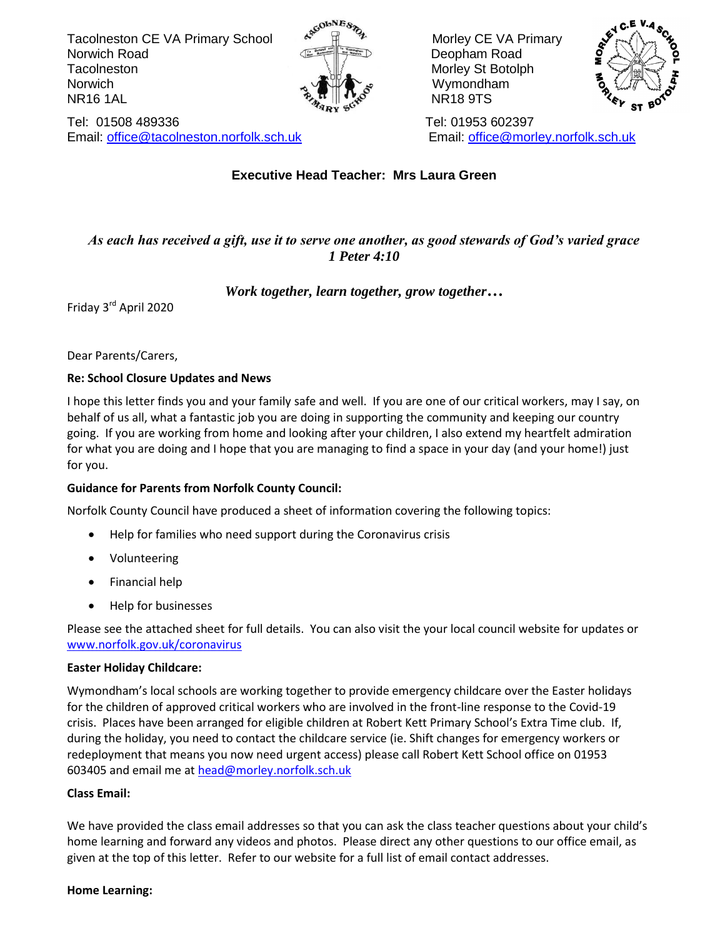Tacolneston CE VA Primary School Associates and Morley CE VA Primary **Norwich Road** Deopham Road **Deopham Road** Tacolneston **Morris Structure Structure Structure Morley Structure Structure Morley Structure Morley Structure** Norwich  $\mathbb{R}^n$  with  $\mathbb{R}^n$  and  $\mathbb{R}^n$  with  $\mathbb{R}^n$  with  $\mathbb{R}^n$  with  $\mathbb{R}^n$  with  $\mathbb{R}^n$  with  $\mathbb{R}^n$  with  $\mathbb{R}^n$  with  $\mathbb{R}^n$  with  $\mathbb{R}^n$  with  $\mathbb{R}^n$  with  $\mathbb{R}^n$  with  $\mathbb{R$  $\mathcal{R}_{\lambda}$ <sup>T</sup>  $\mathbb{R}^{\mathcal{S}}$  NR18 9TS



Tel: 01508 489336 Tel: 01953 602397 Email: [office@tacolneston.norfolk.sch.uk](mailto:office@tacolneston.norfolk.sch.uk) Email: office@morley.norfolk.sch.uk



## **Executive Head Teacher: Mrs Laura Green**

## *As each has received a gift, use it to serve one another, as good stewards of God's varied grace 1 Peter 4:10*

#### *Work together, learn together, grow together…*

Friday 3rd April 2020

Dear Parents/Carers,

#### **Re: School Closure Updates and News**

I hope this letter finds you and your family safe and well. If you are one of our critical workers, may I say, on behalf of us all, what a fantastic job you are doing in supporting the community and keeping our country going. If you are working from home and looking after your children, I also extend my heartfelt admiration for what you are doing and I hope that you are managing to find a space in your day (and your home!) just for you.

#### **Guidance for Parents from Norfolk County Council:**

Norfolk County Council have produced a sheet of information covering the following topics:

- Help for families who need support during the Coronavirus crisis
- Volunteering
- Financial help
- Help for businesses

Please see the attached sheet for full details. You can also visit the your local council website for updates or [www.norfolk.gov.uk/coronavirus](http://www.norfolk.gov.uk/coronavirus)

#### **Easter Holiday Childcare:**

Wymondham's local schools are working together to provide emergency childcare over the Easter holidays for the children of approved critical workers who are involved in the front-line response to the Covid-19 crisis. Places have been arranged for eligible children at Robert Kett Primary School's Extra Time club. If, during the holiday, you need to contact the childcare service (ie. Shift changes for emergency workers or redeployment that means you now need urgent access) please call Robert Kett School office on 01953 603405 and email me at [head@morley.norfolk.sch.uk](mailto:head@morley.norfolk.sch.uk)

#### **Class Email:**

We have provided the class email addresses so that you can ask the class teacher questions about your child's home learning and forward any videos and photos. Please direct any other questions to our office email, as given at the top of this letter. Refer to our website for a full list of email contact addresses.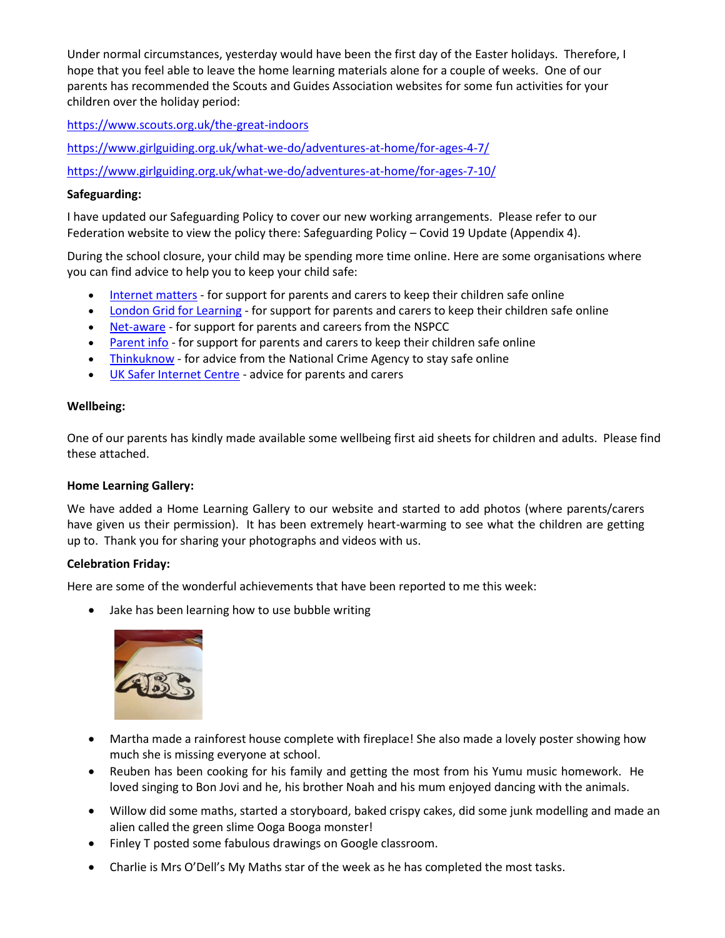Under normal circumstances, yesterday would have been the first day of the Easter holidays. Therefore, I hope that you feel able to leave the home learning materials alone for a couple of weeks. One of our parents has recommended the Scouts and Guides Association websites for some fun activities for your children over the holiday period:

<https://www.scouts.org.uk/the-great-indoors>

<https://www.girlguiding.org.uk/what-we-do/adventures-at-home/for-ages-4-7/>

<https://www.girlguiding.org.uk/what-we-do/adventures-at-home/for-ages-7-10/>

#### **Safeguarding:**

I have updated our Safeguarding Policy to cover our new working arrangements. Please refer to our Federation website to view the policy there: Safeguarding Policy – Covid 19 Update (Appendix 4).

During the school closure, your child may be spending more time online. Here are some organisations where you can find advice to help you to keep your child safe:

- [Internet matters](https://www.internetmatters.org/?gclid=EAIaIQobChMIktuA5LWK2wIVRYXVCh2afg2aEAAYASAAEgIJ5vD_BwE) for support for parents and carers to keep their children safe online
- [London Grid for Learning](http://www.lgfl.net/online-safety/) for support for parents and carers to keep their children safe online
- [Net-aware](https://www.net-aware.org.uk/) for support for parents and careers from the NSPCC
- [Parent info](https://parentinfo.org/) for support for parents and carers to keep their children safe online
- [Thinkuknow](http://www.thinkuknow.co.uk/) for advice from the National Crime Agency to stay safe online
- [UK Safer Internet Centre](https://www.saferinternet.org.uk/advice-centre/parents-and-carers) advice for parents and carers

#### **Wellbeing:**

One of our parents has kindly made available some wellbeing first aid sheets for children and adults. Please find these attached.

#### **Home Learning Gallery:**

We have added a Home Learning Gallery to our website and started to add photos (where parents/carers have given us their permission). It has been extremely heart-warming to see what the children are getting up to. Thank you for sharing your photographs and videos with us.

#### **Celebration Friday:**

Here are some of the wonderful achievements that have been reported to me this week:

• Jake has been learning how to use bubble writing



- Martha made a rainforest house complete with fireplace! She also made a lovely poster showing how much she is missing everyone at school.
- Reuben has been cooking for his family and getting the most from his Yumu music homework. He loved singing to Bon Jovi and he, his brother Noah and his mum enjoyed dancing with the animals.
- Willow did some maths, started a storyboard, baked crispy cakes, did some junk modelling and made an alien called the green slime Ooga Booga monster!
- Finley T posted some fabulous drawings on Google classroom.
- Charlie is Mrs O'Dell's My Maths star of the week as he has completed the most tasks.